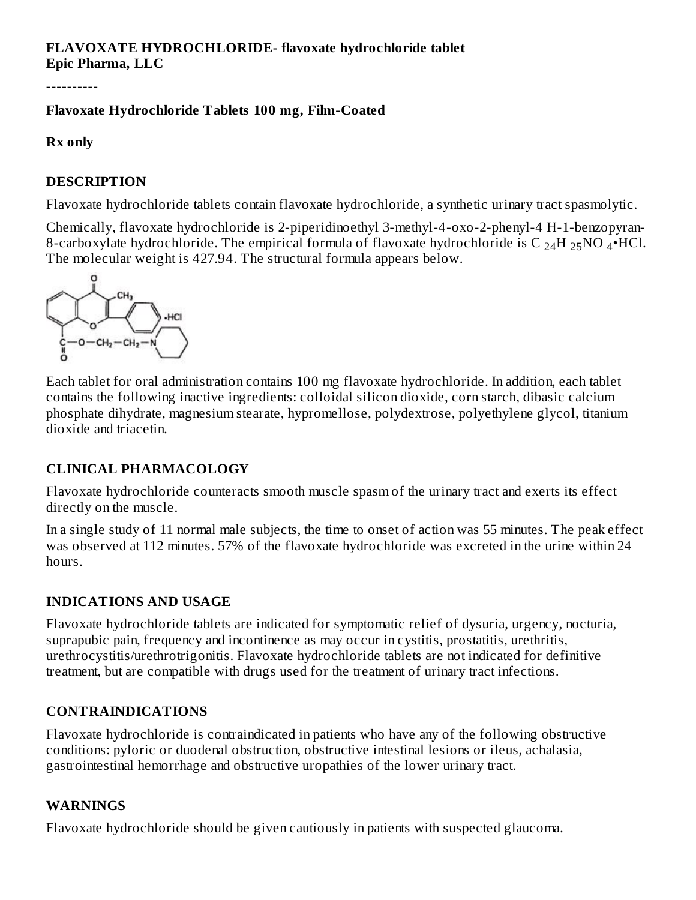# **FLAVOXATE HYDROCHLORIDE- flavoxate hydrochloride tablet Epic Pharma, LLC**

----------

# **Flavoxate Hydrochloride Tablets 100 mg, Film-Coated**

#### **Rx only**

# **DESCRIPTION**

Flavoxate hydrochloride tablets contain flavoxate hydrochloride, a synthetic urinary tract spasmolytic.

Chemically, flavoxate hydrochloride is 2-piperidinoethyl 3-methyl-4-oxo-2-phenyl-4 H-1-benzopyran-8-carboxylate hydrochloride. The empirical formula of flavoxate hydrochloride is C  $_{24}$ H  $_{25}$ NO  $_4$ •HCl. The molecular weight is 427.94. The structural formula appears below.



Each tablet for oral administration contains 100 mg flavoxate hydrochloride. In addition, each tablet contains the following inactive ingredients: colloidal silicon dioxide, corn starch, dibasic calcium phosphate dihydrate, magnesium stearate, hypromellose, polydextrose, polyethylene glycol, titanium dioxide and triacetin.

# **CLINICAL PHARMACOLOGY**

Flavoxate hydrochloride counteracts smooth muscle spasm of the urinary tract and exerts its effect directly on the muscle.

In a single study of 11 normal male subjects, the time to onset of action was 55 minutes. The peak effect was observed at 112 minutes. 57% of the flavoxate hydrochloride was excreted in the urine within 24 hours.

# **INDICATIONS AND USAGE**

Flavoxate hydrochloride tablets are indicated for symptomatic relief of dysuria, urgency, nocturia, suprapubic pain, frequency and incontinence as may occur in cystitis, prostatitis, urethritis, urethrocystitis/urethrotrigonitis. Flavoxate hydrochloride tablets are not indicated for definitive treatment, but are compatible with drugs used for the treatment of urinary tract infections.

# **CONTRAINDICATIONS**

Flavoxate hydrochloride is contraindicated in patients who have any of the following obstructive conditions: pyloric or duodenal obstruction, obstructive intestinal lesions or ileus, achalasia, gastrointestinal hemorrhage and obstructive uropathies of the lower urinary tract.

# **WARNINGS**

Flavoxate hydrochloride should be given cautiously in patients with suspected glaucoma.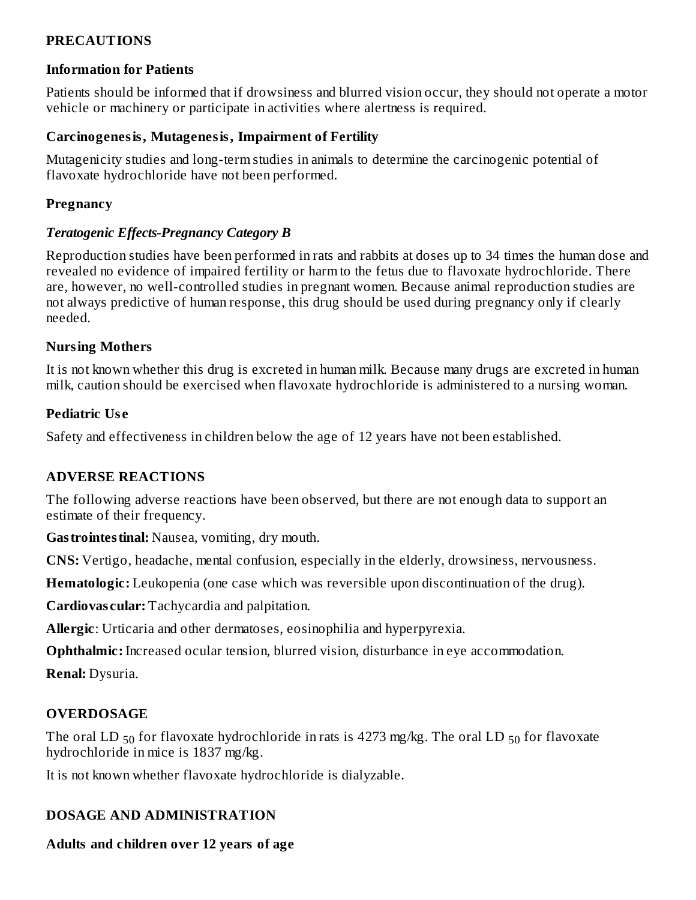# **PRECAUTIONS**

#### **Information for Patients**

Patients should be informed that if drowsiness and blurred vision occur, they should not operate a motor vehicle or machinery or participate in activities where alertness is required.

#### **Carcinogenesis, Mutagenesis, Impairment of Fertility**

Mutagenicity studies and long-term studies in animals to determine the carcinogenic potential of flavoxate hydrochloride have not been performed.

### **Pregnancy**

# *Teratogenic Effects-Pregnancy Category B*

Reproduction studies have been performed in rats and rabbits at doses up to 34 times the human dose and revealed no evidence of impaired fertility or harm to the fetus due to flavoxate hydrochloride. There are, however, no well-controlled studies in pregnant women. Because animal reproduction studies are not always predictive of human response, this drug should be used during pregnancy only if clearly needed.

#### **Nursing Mothers**

It is not known whether this drug is excreted in human milk. Because many drugs are excreted in human milk, caution should be exercised when flavoxate hydrochloride is administered to a nursing woman.

#### **Pediatric Us e**

Safety and effectiveness in children below the age of 12 years have not been established.

# **ADVERSE REACTIONS**

The following adverse reactions have been observed, but there are not enough data to support an estimate of their frequency.

**Gastrointestinal:** Nausea, vomiting, dry mouth.

**CNS:** Vertigo, headache, mental confusion, especially in the elderly, drowsiness, nervousness.

**Hematologic:** Leukopenia (one case which was reversible upon discontinuation of the drug).

**Cardiovas cular:** Tachycardia and palpitation.

**Allergic**: Urticaria and other dermatoses, eosinophilia and hyperpyrexia.

**Ophthalmic:** Increased ocular tension, blurred vision, disturbance in eye accommodation.

**Renal:** Dysuria.

# **OVERDOSAGE**

The oral LD  $_{50}$  for flavoxate hydrochloride in rats is 4273 mg/kg. The oral LD  $_{50}$  for flavoxate hydrochloride in mice is 1837 mg/kg.

It is not known whether flavoxate hydrochloride is dialyzable.

# **DOSAGE AND ADMINISTRATION**

# **Adults and children over 12 years of age**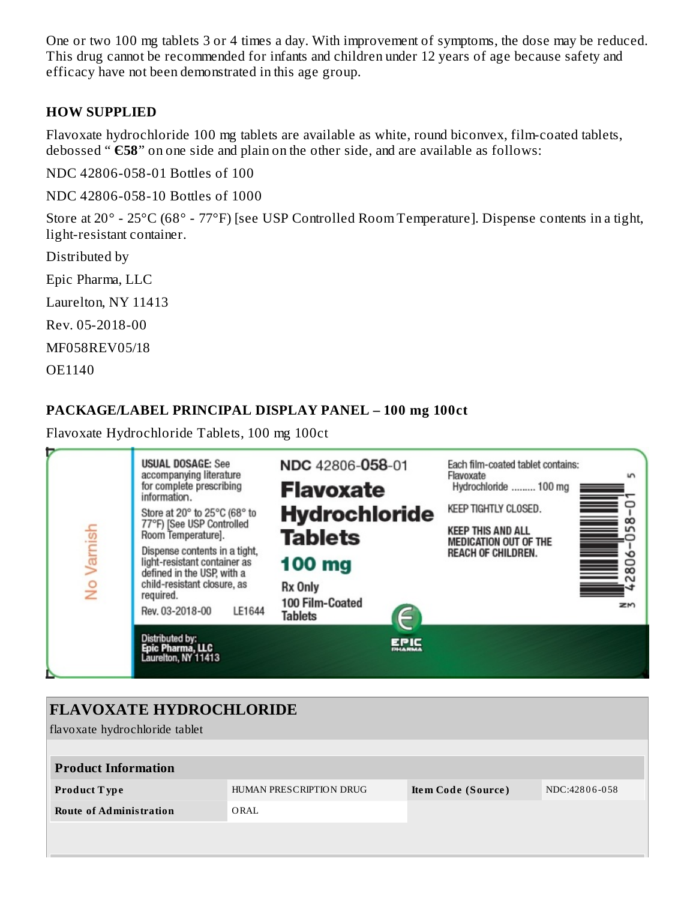One or two 100 mg tablets 3 or 4 times a day. With improvement of symptoms, the dose may be reduced. This drug cannot be recommended for infants and children under 12 years of age because safety and efficacy have not been demonstrated in this age group.

# **HOW SUPPLIED**

Flavoxate hydrochloride 100 mg tablets are available as white, round biconvex, film-coated tablets, debossed " **Є58**" on one side and plain on the other side, and are available as follows:

NDC 42806-058-01 Bottles of 100

NDC 42806-058-10 Bottles of 1000

Store at 20° - 25°C (68° - 77°F) [see USP Controlled Room Temperature]. Dispense contents in a tight, light-resistant container.

Distributed by

Epic Pharma, LLC

Laurelton, NY 11413

Rev. 05-2018-00

MF058REV05/18

OE1140

#### **PACKAGE/LABEL PRINCIPAL DISPLAY PANEL – 100 mg 100ct**

Flavoxate Hydrochloride Tablets, 100 mg 100ct



| <b>FLAVOXATE HYDROCHLORIDE</b> |                         |                    |               |  |  |  |  |
|--------------------------------|-------------------------|--------------------|---------------|--|--|--|--|
| flavoxate hydrochloride tablet |                         |                    |               |  |  |  |  |
|                                |                         |                    |               |  |  |  |  |
| <b>Product Information</b>     |                         |                    |               |  |  |  |  |
| <b>Product Type</b>            | HUMAN PRESCRIPTION DRUG | Item Code (Source) | NDC:42806-058 |  |  |  |  |
| <b>Route of Administration</b> | ORAL                    |                    |               |  |  |  |  |
|                                |                         |                    |               |  |  |  |  |
|                                |                         |                    |               |  |  |  |  |